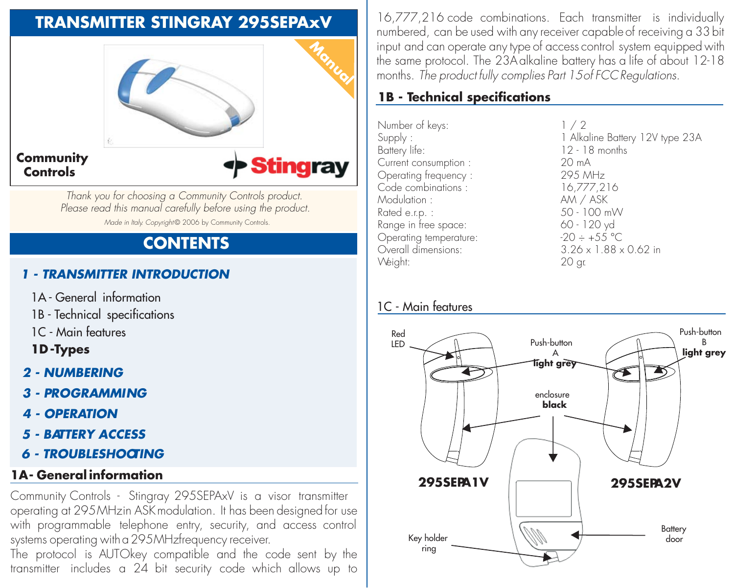# **TRANSMITTER STINGRAY 295SEPAxV**



*Thank you for choosing a Community Controls product. Please read this manual carefully before using the product. Made in Italy. Copyright* © 2006 by Community Controls.

## **CONTENTS**

### *1 - TRANSMITTER INTRODUCTION*

- 1A General information
- 1B Technical specifications
- 1C Main features
- **1D -Types**
- *2 NUMBERING*
- *3 PROGRAMMING*
- *4 OPERATION*
- *5 BATTERY ACCESS*
- *6 TROUBLESHOOTING*

### **1A - General information**

Community Controls - Stingray 295SEPAxV is a visor transmitter operating at 295 MHz in ASK modulation. It has been designed for use with programmable telephone entry, security, and access control systems operating with a 295MHz frequency receiver.

The protocol is AUTOkey compatible and the code sent by the transmitter includes a 24 bit security code which allows up to 16,777,216 code combinations. Each transmitter is individually numbered, can be used with any receiver capable of receiving a 33 bit input and can operate any type of access control system equipped with the same protocol. The 23A alkaline battery has a life of about 12-18 months. *The product fully complies Part 15 of FCC Regulations.*

### **1B - Technical specifications**

Number of keys:  $1 / 2$ <br>Supply : 1 Alke Current consumption : 20 mA Operating frequency : 295 MHz<br>Code combinations : 295 MHz Code combinations :<br>Modulation : Modulation : AM / ASK<br>Rated e rn · 30 - 100 m Range in free space:  $60 - 120 \text{ yd}$ <br>Operating temperature:  $20 - 155 \text{ °C}$ Operating temperature:<br>Overall dimensions: Weight:

Supply : 1 Alkaline Battery 12V type 23A<br>Battery life: 12 - 18 months  $12 - 18$  months<br> $20 \text{ mA}$  $50 - 100$  mW  $3.26 \times 1.88 \times 0.62$  in<br>20 or

### 1C - Main features